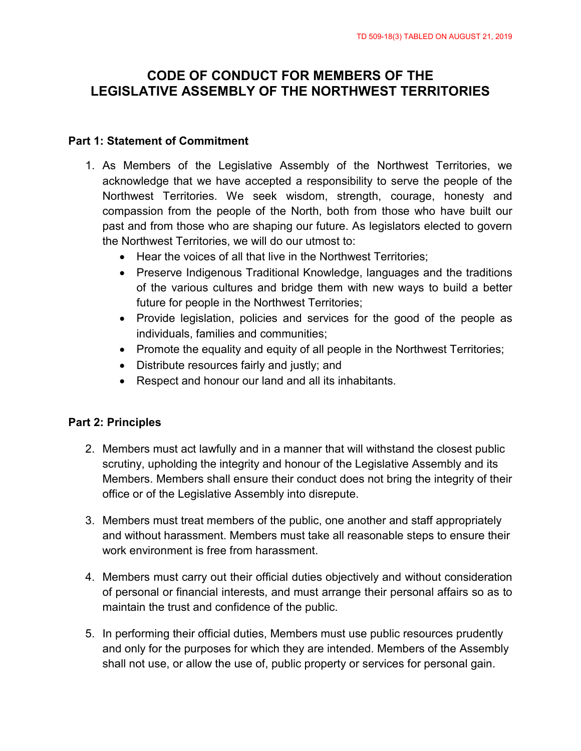# **CODE OF CONDUCT FOR MEMBERS OF THE LEGISLATIVE ASSEMBLY OF THE NORTHWEST TERRITORIES**

#### **Part 1: Statement of Commitment**

- 1. As Members of the Legislative Assembly of the Northwest Territories, we acknowledge that we have accepted a responsibility to serve the people of the Northwest Territories. We seek wisdom, strength, courage, honesty and compassion from the people of the North, both from those who have built our past and from those who are shaping our future. As legislators elected to govern the Northwest Territories, we will do our utmost to:
	- Hear the voices of all that live in the Northwest Territories;
	- Preserve Indigenous Traditional Knowledge, languages and the traditions of the various cultures and bridge them with new ways to build a better future for people in the Northwest Territories;
	- Provide legislation, policies and services for the good of the people as individuals, families and communities;
	- Promote the equality and equity of all people in the Northwest Territories;
	- Distribute resources fairly and justly; and
	- Respect and honour our land and all its inhabitants.

## **Part 2: Principles**

- 2. Members must act lawfully and in a manner that will withstand the closest public scrutiny, upholding the integrity and honour of the Legislative Assembly and its Members. Members shall ensure their conduct does not bring the integrity of their office or of the Legislative Assembly into disrepute.
- 3. Members must treat members of the public, one another and staff appropriately and without harassment. Members must take all reasonable steps to ensure their work environment is free from harassment.
- 4. Members must carry out their official duties objectively and without consideration of personal or financial interests, and must arrange their personal affairs so as to maintain the trust and confidence of the public.
- 5. In performing their official duties, Members must use public resources prudently and only for the purposes for which they are intended. Members of the Assembly shall not use, or allow the use of, public property or services for personal gain.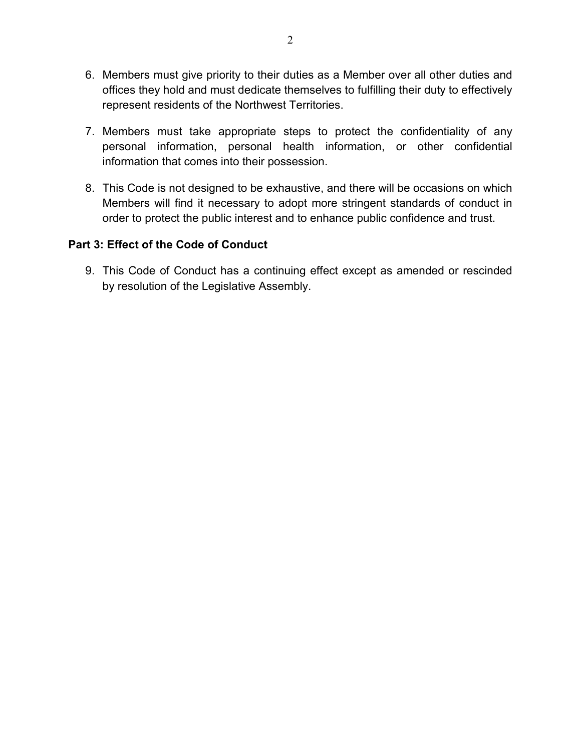- 6. Members must give priority to their duties as a Member over all other duties and offices they hold and must dedicate themselves to fulfilling their duty to effectively represent residents of the Northwest Territories.
- 7. Members must take appropriate steps to protect the confidentiality of any personal information, personal health information, or other confidential information that comes into their possession.
- 8. This Code is not designed to be exhaustive, and there will be occasions on which Members will find it necessary to adopt more stringent standards of conduct in order to protect the public interest and to enhance public confidence and trust.

### **Part 3: Effect of the Code of Conduct**

9. This Code of Conduct has a continuing effect except as amended or rescinded by resolution of the Legislative Assembly.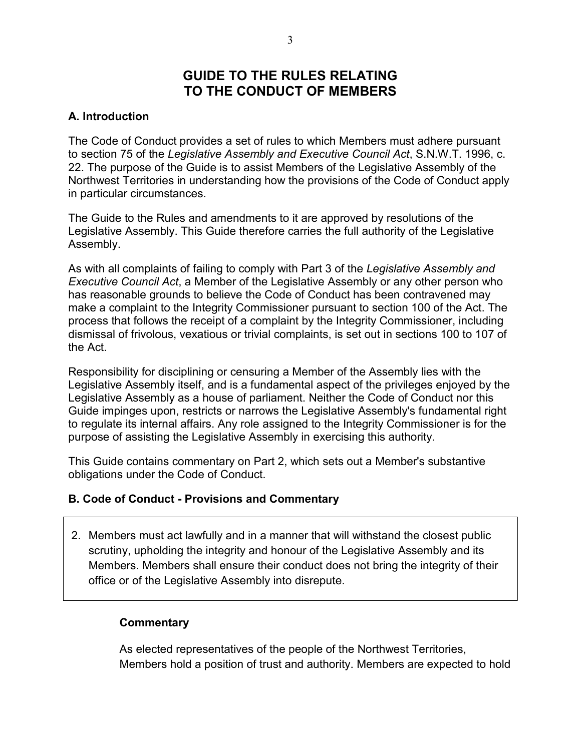## **GUIDE TO THE RULES RELATING TO THE CONDUCT OF MEMBERS**

## **A. Introduction**

The Code of Conduct provides a set of rules to which Members must adhere pursuant to section 75 of the *Legislative Assembly and Executive Council Act*, S.N.W.T. 1996, c. 22. The purpose of the Guide is to assist Members of the Legislative Assembly of the Northwest Territories in understanding how the provisions of the Code of Conduct apply in particular circumstances.

The Guide to the Rules and amendments to it are approved by resolutions of the Legislative Assembly. This Guide therefore carries the full authority of the Legislative Assembly.

As with all complaints of failing to comply with Part 3 of the *Legislative Assembly and Executive Council Act*, a Member of the Legislative Assembly or any other person who has reasonable grounds to believe the Code of Conduct has been contravened may make a complaint to the Integrity Commissioner pursuant to section 100 of the Act. The process that follows the receipt of a complaint by the Integrity Commissioner, including dismissal of frivolous, vexatious or trivial complaints, is set out in sections 100 to 107 of the Act.

Responsibility for disciplining or censuring a Member of the Assembly lies with the Legislative Assembly itself, and is a fundamental aspect of the privileges enjoyed by the Legislative Assembly as a house of parliament. Neither the Code of Conduct nor this Guide impinges upon, restricts or narrows the Legislative Assembly's fundamental right to regulate its internal affairs. Any role assigned to the Integrity Commissioner is for the purpose of assisting the Legislative Assembly in exercising this authority.

This Guide contains commentary on Part 2, which sets out a Member's substantive obligations under the Code of Conduct.

#### **B. Code of Conduct - Provisions and Commentary**

2. Members must act lawfully and in a manner that will withstand the closest public scrutiny, upholding the integrity and honour of the Legislative Assembly and its Members. Members shall ensure their conduct does not bring the integrity of their office or of the Legislative Assembly into disrepute.

#### **Commentary**

As elected representatives of the people of the Northwest Territories, Members hold a position of trust and authority. Members are expected to hold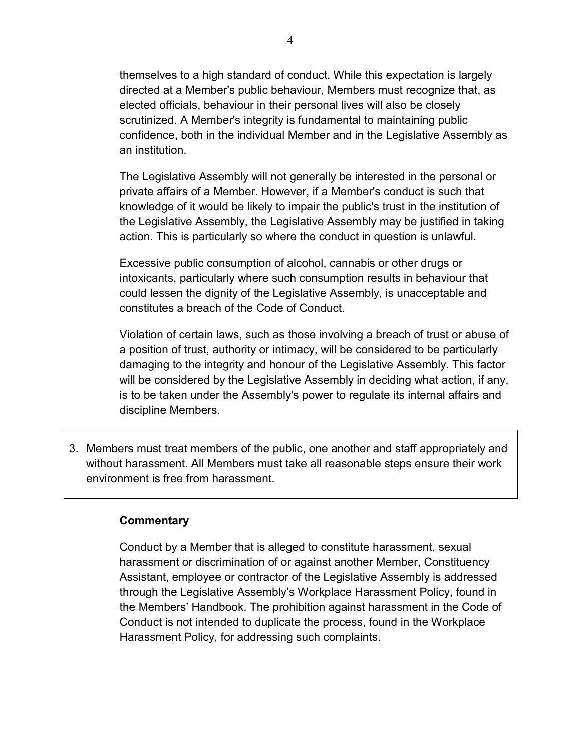themselves to a high standard of conduct. While this expectation is largely directed at a Member's public behaviour, Members must recognize that, as elected officials, behaviour in their personal lives will also be closely scrutinized. A Member's integrity is fundamental to maintaining public confidence, both in the individual Member and in the Legislative Assembly as an institution.

The Legislative Assembly will not generally be interested in the personal or private affairs of a Member. However, if a Member's conduct is such that knowledge of it would be likely to impair the public's trust in the institution of the Legislative Assembly, the Legislative Assembly may be justified in taking action. This is particularly so where the conduct in question is unlawful.

Excessive public consumption of alcohol, cannabis or other drugs or intoxicants, particularly where such consumption results in behaviour that could lessen the dignity of the Legislative Assembly, is unacceptable and constitutes a breach of the Code of Conduct.

Violation of certain laws, such as those involving a breach of trust or abuse of a position of trust, authority or intimacy, will be considered to be particularly damaging to the integrity and honour of the Legislative Assembly. This factor will be considered by the Legislative Assembly in deciding what action, if any, is to be taken under the Assembly's power to regulate its internal affairs and discipline Members.

3. Members must treat members of the public, one another and staff appropriately and without harassment. All Members must take all reasonable steps ensure their work environment is free from harassment.

#### **Commentary**

Conduct by a Member that is alleged to constitute harassment, sexual harassment or discrimination of or against another Member, Constituency Assistant, employee or contractor of the Legislative Assembly is addressed through the Legislative Assembly's Workplace Harassment Policy, found in the Members' Handbook. The prohibition against harassment in the Code of Conduct is not intended to duplicate the process, found in the Workplace Harassment Policy, for addressing such complaints.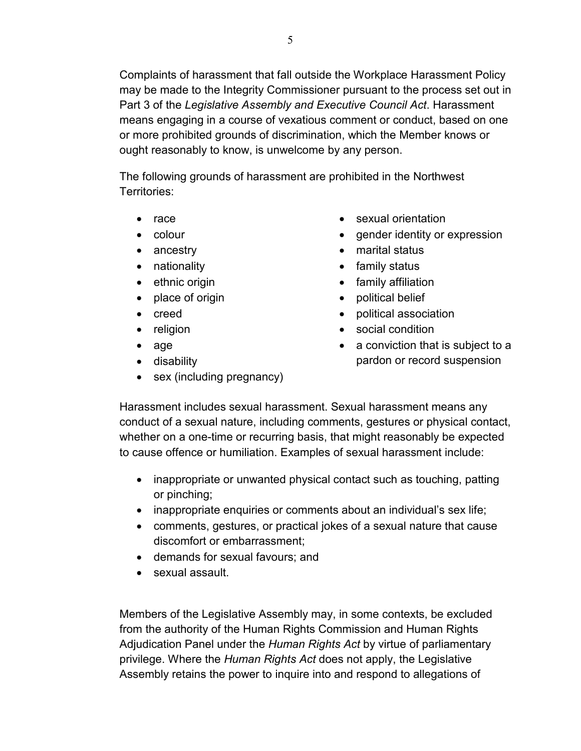Complaints of harassment that fall outside the Workplace Harassment Policy may be made to the Integrity Commissioner pursuant to the process set out in Part 3 of the *Legislative Assembly and Executive Council Act*. Harassment means engaging in a course of vexatious comment or conduct, based on one or more prohibited grounds of discrimination, which the Member knows or ought reasonably to know, is unwelcome by any person.

The following grounds of harassment are prohibited in the Northwest Territories:

- race
- colour
- ancestry
- nationality
- ethnic origin
- place of origin
- creed
- religion
- age
- disability
- sex (including pregnancy)
- sexual orientation
- gender identity or expression
- marital status
- family status
- family affiliation
- political belief
- political association
- social condition
- a conviction that is subject to a pardon or record suspension

Harassment includes sexual harassment. Sexual harassment means any conduct of a sexual nature, including comments, gestures or physical contact, whether on a one-time or recurring basis, that might reasonably be expected to cause offence or humiliation. Examples of sexual harassment include:

- inappropriate or unwanted physical contact such as touching, patting or pinching;
- inappropriate enquiries or comments about an individual's sex life;
- comments, gestures, or practical jokes of a sexual nature that cause discomfort or embarrassment;
- demands for sexual favours; and
- sexual assault.

Members of the Legislative Assembly may, in some contexts, be excluded from the authority of the Human Rights Commission and Human Rights Adjudication Panel under the *Human Rights Act* by virtue of parliamentary privilege. Where the *Human Rights Act* does not apply, the Legislative Assembly retains the power to inquire into and respond to allegations of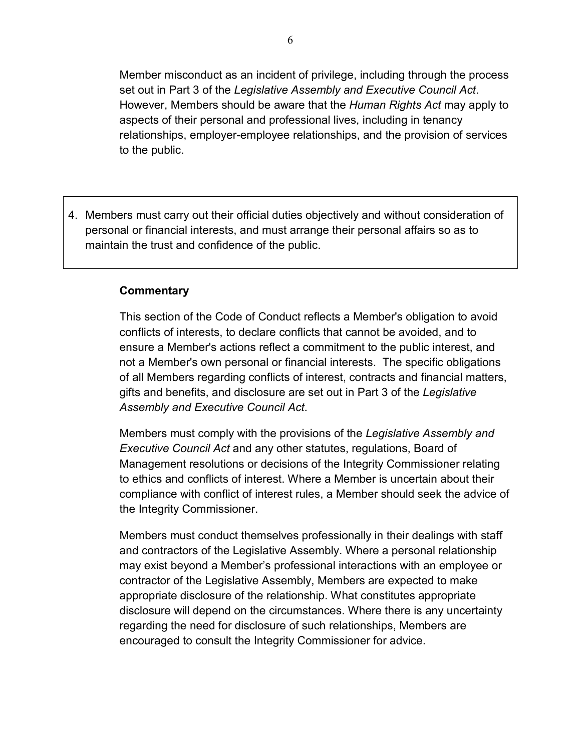Member misconduct as an incident of privilege, including through the process set out in Part 3 of the *Legislative Assembly and Executive Council Act*. However, Members should be aware that the *Human Rights Act* may apply to aspects of their personal and professional lives, including in tenancy relationships, employer-employee relationships, and the provision of services to the public.

4. Members must carry out their official duties objectively and without consideration of personal or financial interests, and must arrange their personal affairs so as to maintain the trust and confidence of the public.

#### **Commentary**

This section of the Code of Conduct reflects a Member's obligation to avoid conflicts of interests, to declare conflicts that cannot be avoided, and to ensure a Member's actions reflect a commitment to the public interest, and not a Member's own personal or financial interests. The specific obligations of all Members regarding conflicts of interest, contracts and financial matters, gifts and benefits, and disclosure are set out in Part 3 of the *Legislative Assembly and Executive Council Act*.

Members must comply with the provisions of the *Legislative Assembly and Executive Council Act* and any other statutes, regulations, Board of Management resolutions or decisions of the Integrity Commissioner relating to ethics and conflicts of interest. Where a Member is uncertain about their compliance with conflict of interest rules, a Member should seek the advice of the Integrity Commissioner.

Members must conduct themselves professionally in their dealings with staff and contractors of the Legislative Assembly. Where a personal relationship may exist beyond a Member's professional interactions with an employee or contractor of the Legislative Assembly, Members are expected to make appropriate disclosure of the relationship. What constitutes appropriate disclosure will depend on the circumstances. Where there is any uncertainty regarding the need for disclosure of such relationships, Members are encouraged to consult the Integrity Commissioner for advice.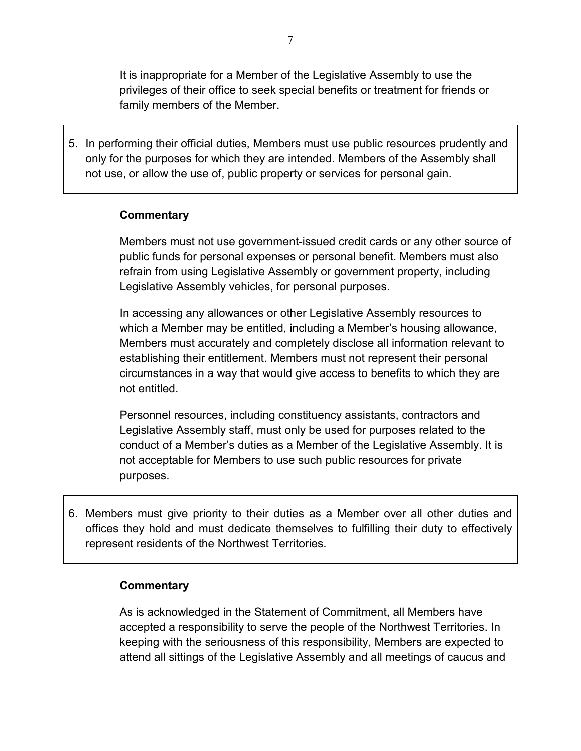It is inappropriate for a Member of the Legislative Assembly to use the privileges of their office to seek special benefits or treatment for friends or family members of the Member.

5. In performing their official duties, Members must use public resources prudently and only for the purposes for which they are intended. Members of the Assembly shall not use, or allow the use of, public property or services for personal gain.

#### **Commentary**

Members must not use government-issued credit cards or any other source of public funds for personal expenses or personal benefit. Members must also refrain from using Legislative Assembly or government property, including Legislative Assembly vehicles, for personal purposes.

In accessing any allowances or other Legislative Assembly resources to which a Member may be entitled, including a Member's housing allowance, Members must accurately and completely disclose all information relevant to establishing their entitlement. Members must not represent their personal circumstances in a way that would give access to benefits to which they are not entitled.

Personnel resources, including constituency assistants, contractors and Legislative Assembly staff, must only be used for purposes related to the conduct of a Member's duties as a Member of the Legislative Assembly. It is not acceptable for Members to use such public resources for private purposes.

6. Members must give priority to their duties as a Member over all other duties and offices they hold and must dedicate themselves to fulfilling their duty to effectively represent residents of the Northwest Territories.

#### **Commentary**

As is acknowledged in the Statement of Commitment, all Members have accepted a responsibility to serve the people of the Northwest Territories. In keeping with the seriousness of this responsibility, Members are expected to attend all sittings of the Legislative Assembly and all meetings of caucus and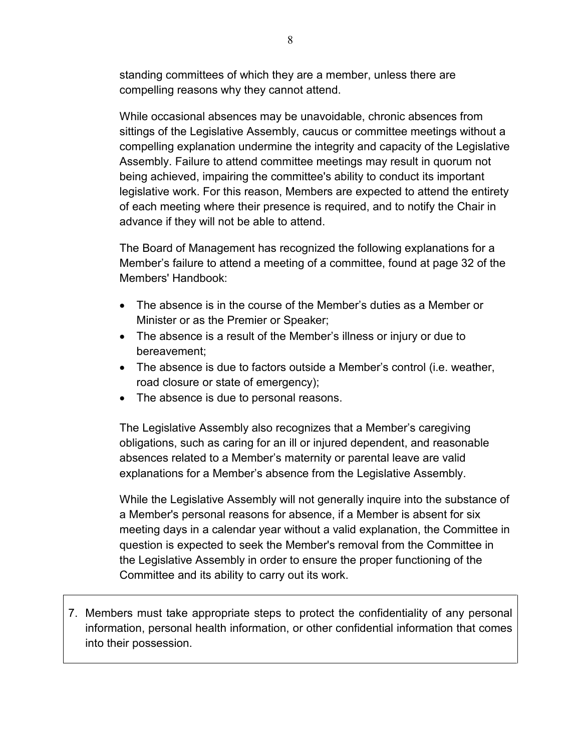standing committees of which they are a member, unless there are compelling reasons why they cannot attend.

While occasional absences may be unavoidable, chronic absences from sittings of the Legislative Assembly, caucus or committee meetings without a compelling explanation undermine the integrity and capacity of the Legislative Assembly. Failure to attend committee meetings may result in quorum not being achieved, impairing the committee's ability to conduct its important legislative work. For this reason, Members are expected to attend the entirety of each meeting where their presence is required, and to notify the Chair in advance if they will not be able to attend.

The Board of Management has recognized the following explanations for a Member's failure to attend a meeting of a committee, found at page 32 of the Members' Handbook:

- The absence is in the course of the Member's duties as a Member or Minister or as the Premier or Speaker;
- The absence is a result of the Member's illness or injury or due to bereavement;
- The absence is due to factors outside a Member's control (i.e. weather, road closure or state of emergency);
- The absence is due to personal reasons.

The Legislative Assembly also recognizes that a Member's caregiving obligations, such as caring for an ill or injured dependent, and reasonable absences related to a Member's maternity or parental leave are valid explanations for a Member's absence from the Legislative Assembly.

While the Legislative Assembly will not generally inquire into the substance of a Member's personal reasons for absence, if a Member is absent for six meeting days in a calendar year without a valid explanation, the Committee in question is expected to seek the Member's removal from the Committee in the Legislative Assembly in order to ensure the proper functioning of the Committee and its ability to carry out its work.

7. Members must take appropriate steps to protect the confidentiality of any personal information, personal health information, or other confidential information that comes into their possession.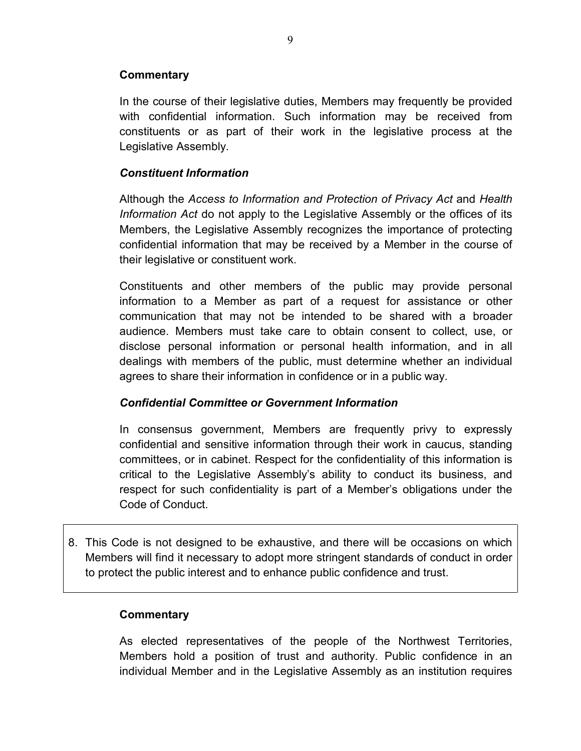### **Commentary**

In the course of their legislative duties, Members may frequently be provided with confidential information. Such information may be received from constituents or as part of their work in the legislative process at the Legislative Assembly.

### *Constituent Information*

Although the *Access to Information and Protection of Privacy Act* and *Health Information Act* do not apply to the Legislative Assembly or the offices of its Members, the Legislative Assembly recognizes the importance of protecting confidential information that may be received by a Member in the course of their legislative or constituent work.

Constituents and other members of the public may provide personal information to a Member as part of a request for assistance or other communication that may not be intended to be shared with a broader audience. Members must take care to obtain consent to collect, use, or disclose personal information or personal health information, and in all dealings with members of the public, must determine whether an individual agrees to share their information in confidence or in a public way.

#### *Confidential Committee or Government Information*

In consensus government, Members are frequently privy to expressly confidential and sensitive information through their work in caucus, standing committees, or in cabinet. Respect for the confidentiality of this information is critical to the Legislative Assembly's ability to conduct its business, and respect for such confidentiality is part of a Member's obligations under the Code of Conduct.

8. This Code is not designed to be exhaustive, and there will be occasions on which Members will find it necessary to adopt more stringent standards of conduct in order to protect the public interest and to enhance public confidence and trust.

#### **Commentary**

As elected representatives of the people of the Northwest Territories, Members hold a position of trust and authority. Public confidence in an individual Member and in the Legislative Assembly as an institution requires